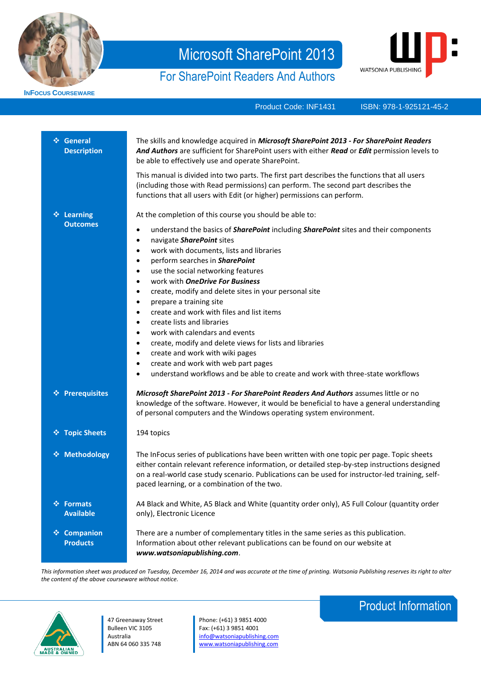

**INFOCUS COURSEWARE**

# Microsoft SharePoint 2013

# For SharePoint Readers And Authors



Product Code: INF1431

ISBN: 978-1-925121-36-0 978-1-925121-45-2

|   | ❖ General<br><b>Description</b>     | The skills and knowledge acquired in Microsoft SharePoint 2013 - For SharePoint Readers<br>And Authors are sufficient for SharePoint users with either Read or Edit permission levels to<br>be able to effectively use and operate SharePoint.<br>This manual is divided into two parts. The first part describes the functions that all users<br>(including those with Read permissions) can perform. The second part describes the<br>functions that all users with Edit (or higher) permissions can perform.                                                                                                                                                                                                                                                                                                                                                                                                          |
|---|-------------------------------------|--------------------------------------------------------------------------------------------------------------------------------------------------------------------------------------------------------------------------------------------------------------------------------------------------------------------------------------------------------------------------------------------------------------------------------------------------------------------------------------------------------------------------------------------------------------------------------------------------------------------------------------------------------------------------------------------------------------------------------------------------------------------------------------------------------------------------------------------------------------------------------------------------------------------------|
|   | ❖ Learning<br><b>Outcomes</b>       | At the completion of this course you should be able to:<br>understand the basics of <b>SharePoint</b> including <b>SharePoint</b> sites and their components<br>٠<br>navigate SharePoint sites<br>$\bullet$<br>work with documents, lists and libraries<br>$\bullet$<br>perform searches in SharePoint<br>$\bullet$<br>use the social networking features<br>$\bullet$<br>work with <b>OneDrive For Business</b><br>$\bullet$<br>create, modify and delete sites in your personal site<br>٠<br>prepare a training site<br>$\bullet$<br>create and work with files and list items<br>$\bullet$<br>create lists and libraries<br>$\bullet$<br>work with calendars and events<br>$\bullet$<br>create, modify and delete views for lists and libraries<br>٠<br>create and work with wiki pages<br>٠<br>create and work with web part pages<br>understand workflows and be able to create and work with three-state workflows |
|   | ❖ Prerequisites                     | Microsoft SharePoint 2013 - For SharePoint Readers And Authors assumes little or no<br>knowledge of the software. However, it would be beneficial to have a general understanding<br>of personal computers and the Windows operating system environment.                                                                                                                                                                                                                                                                                                                                                                                                                                                                                                                                                                                                                                                                 |
|   | ❖ Topic Sheets                      | 194 topics                                                                                                                                                                                                                                                                                                                                                                                                                                                                                                                                                                                                                                                                                                                                                                                                                                                                                                               |
|   | ❖ Methodology                       | The InFocus series of publications have been written with one topic per page. Topic sheets<br>either contain relevant reference information, or detailed step-by-step instructions designed<br>on a real-world case study scenario. Publications can be used for instructor-led training, self-<br>paced learning, or a combination of the two.                                                                                                                                                                                                                                                                                                                                                                                                                                                                                                                                                                          |
|   | ❖ Formats<br><b>Available</b>       | A4 Black and White, A5 Black and White (quantity order only), A5 Full Colour (quantity order<br>only), Electronic Licence                                                                                                                                                                                                                                                                                                                                                                                                                                                                                                                                                                                                                                                                                                                                                                                                |
| 豪 | <b>Companion</b><br><b>Products</b> | There are a number of complementary titles in the same series as this publication.<br>Information about other relevant publications can be found on our website at<br>www.watsoniapublishing.com.                                                                                                                                                                                                                                                                                                                                                                                                                                                                                                                                                                                                                                                                                                                        |

*This information sheet was produced on Tuesday, December 16, 2014 and was accurate at the time of printing. Watsonia Publishing reserves its right to alter the content of the above courseware without notice.*



47 Greenaway Street Bulleen VIC 3105 Australia ABN 64 060 335 748

Phone: (+61) 3 9851 4000 Fax: (+61) 3 9851 4001 [info@watsoniapublishing.com](mailto:info@watsoniapublishing.com) [www.watsoniapublishing.com](http://www.watsoniapublishing.com/)

# Product Information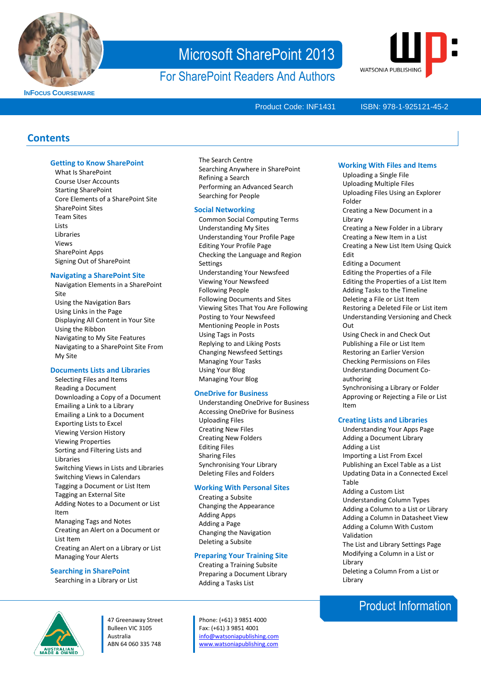

**INFOCUS COURSEWARE**

# Microsoft SharePoint 2013

For SharePoint Readers And Authors



Product Code: INF1431

#### ISBN: 978-1-925121-36-0 978-1-925121-45-2

### **Contents**

#### **Getting to Know SharePoint**

What Is SharePoint Course User Accounts Starting SharePoint Core Elements of a SharePoint Site SharePoint Sites Team Sites **Lists** Libraries Views SharePoint Apps Signing Out of SharePoint

#### **Navigating a SharePoint Site**

Navigation Elements in a SharePoint Site Using the Navigation Bars Using Links in the Page Displaying All Content in Your Site Using the Ribbon Navigating to My Site Features Navigating to a SharePoint Site From My Site

#### **Documents Lists and Libraries**

Selecting Files and Items Reading a Document Downloading a Copy of a Document Emailing a Link to a Library Emailing a Link to a Document Exporting Lists to Excel Viewing Version History Viewing Properties Sorting and Filtering Lists and Libraries Switching Views in Lists and Libraries Switching Views in Calendars Tagging a Document or List Item Tagging an External Site Adding Notes to a Document or List Item Managing Tags and Notes Creating an Alert on a Document or List Item Creating an Alert on a Library or List Managing Your Alerts

#### **Searching in SharePoint**

Searching in a Library or List

#### The Search Centre Searching Anywhere in SharePoint Refining a Search Performing an Advanced Search Searching for People

#### **Social Networking**

Common Social Computing Terms Understanding My Sites Understanding Your Profile Page Editing Your Profile Page Checking the Language and Region **Settings** Understanding Your Newsfeed Viewing Your Newsfeed Following People Following Documents and Sites Viewing Sites That You Are Following Posting to Your Newsfeed Mentioning People in Posts Using Tags in Posts Replying to and Liking Posts Changing Newsfeed Settings Managing Your Tasks Using Your Blog Managing Your Blog

#### **OneDrive for Business**

Understanding OneDrive for Business Accessing OneDrive for Business Uploading Files Creating New Files Creating New Folders Editing Files Sharing Files Synchronising Your Library Deleting Files and Folders

#### **Working With Personal Sites**

Creating a Subsite Changing the Appearance Adding Apps Adding a Page Changing the Navigation Deleting a Subsite

#### **Preparing Your Training Site**

Creating a Training Subsite Preparing a Document Library Adding a Tasks List

47 Greenaway Street Bulleen VIC 3105 Australia ABN 64 060 335 748

Phone: (+61) 3 9851 4000 Fax: (+61) 3 9851 4001 [info@watsoniapublishing.com](mailto:info@watsoniapublishing.com) [www.watsoniapublishing.com](http://www.watsoniapublishing.com/)

#### **Working With Files and Items**

Uploading a Single File Uploading Multiple Files Uploading Files Using an Explorer Folder Creating a New Document in a Library Creating a New Folder in a Library Creating a New Item in a List Creating a New List Item Using Quick Edit Editing a Document Editing the Properties of a File Editing the Properties of a List Item Adding Tasks to the Timeline Deleting a File or List Item Restoring a Deleted File or List item Understanding Versioning and Check Out Using Check in and Check Out Publishing a File or List Item Restoring an Earlier Version Checking Permissions on Files Understanding Document Coauthoring Synchronising a Library or Folder Approving or Rejecting a File or List Item **Creating Lists and Libraries**

- Understanding Your Apps Page Adding a Document Library Adding a List Importing a List From Excel Publishing an Excel Table as a List Updating Data in a Connected Excel Table Adding a Custom List Understanding Column Types Adding a Column to a List or Library Adding a Column in Datasheet View Adding a Column With Custom Validation The List and Library Settings Page
- Modifying a Column in a List or Library Deleting a Column From a List or Library

### Product Information